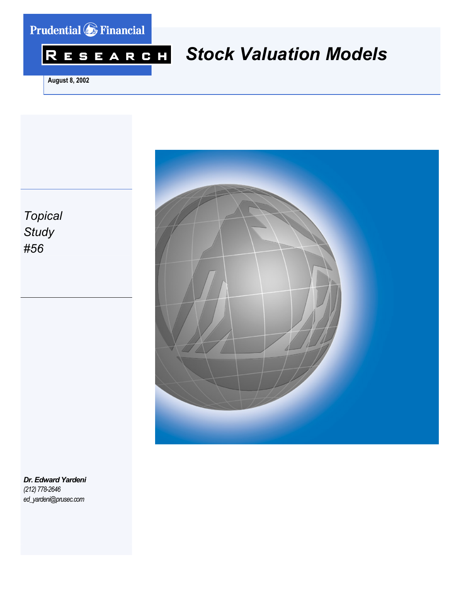



# **Research** *Stock Valuation Models*

**August 8, 2002** 

*Topical Study #56*



*Dr. Edward Yardeni (212) 778-2646 ed\_yardeni@prusec.com*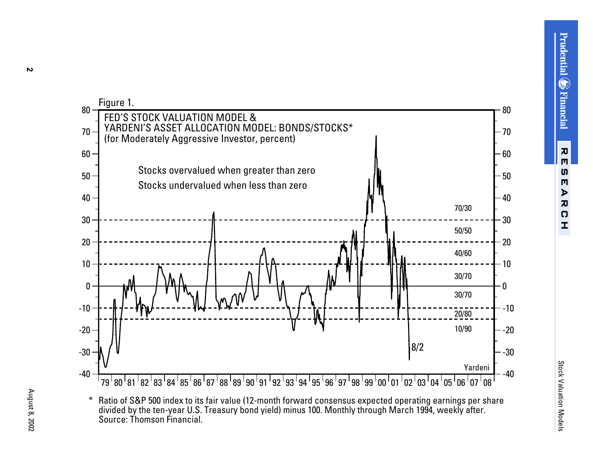

\* Ratio of S&P 500 index to its fair value (12-month forward consensus expected operating earnings per share divided by the ten-year U.S. Treasury bond yield) minus 100. Monthly through March 1994, weekly after. Source: Thomson Financial.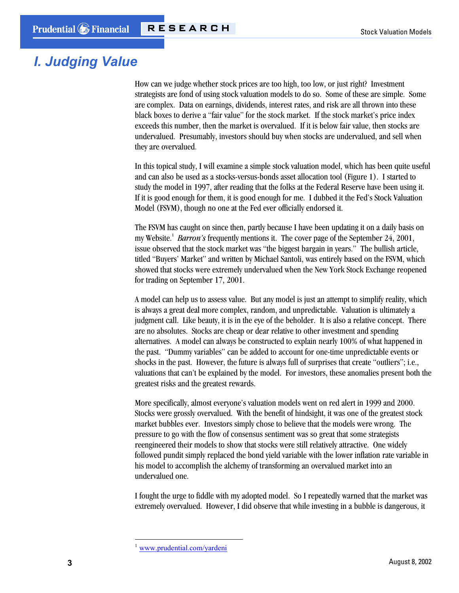### *I. Judging Value*

How can we judge whether stock prices are too high, too low, or just right? Investment strategists are fond of using stock valuation models to do so. Some of these are simple. Some are complex. Data on earnings, dividends, interest rates, and risk are all thrown into these black boxes to derive a "fair value" for the stock market. If the stock market's price index exceeds this number, then the market is overvalued. If it is below fair value, then stocks are undervalued. Presumably, investors should buy when stocks are undervalued, and sell when they are overvalued.

In this topical study, I will examine a simple stock valuation model, which has been quite useful and can also be used as a stocks-versus-bonds asset allocation tool (Figure 1). I started to study the model in 1997, after reading that the folks at the Federal Reserve have been using it. If it is good enough for them, it is good enough for me. I dubbed it the Fed's Stock Valuation Model (FSVM), though no one at the Fed ever officially endorsed it.

The FSVM has caught on since then, partly because I have been updating it on a daily basis on my Website.<sup>1</sup> Barron's frequently mentions it. The cover page of the September 24, 2001, issue observed that the stock market was "the biggest bargain in years." The bullish article, titled "Buyers' Market" and written by Michael Santoli, was entirely based on the FSVM, which showed that stocks were extremely undervalued when the New York Stock Exchange reopened for trading on September 17, 2001.

A model can help us to assess value. But any model is just an attempt to simplify reality, which is always a great deal more complex, random, and unpredictable. Valuation is ultimately a judgment call. Like beauty, it is in the eye of the beholder. It is also a relative concept. There are no absolutes. Stocks are cheap or dear relative to other investment and spending alternatives. A model can always be constructed to explain nearly 100% of what happened in the past. "Dummy variables" can be added to account for one-time unpredictable events or shocks in the past. However, the future is always full of surprises that create "outliers"; i.e., valuations that can't be explained by the model. For investors, these anomalies present both the greatest risks and the greatest rewards.

More specifically, almost everyone's valuation models went on red alert in 1999 and 2000. Stocks were grossly overvalued. With the benefit of hindsight, it was one of the greatest stock market bubbles ever. Investors simply chose to believe that the models were wrong. The pressure to go with the flow of consensus sentiment was so great that some strategists reengineered their models to show that stocks were still relatively attractive. One widely followed pundit simply replaced the bond yield variable with the lower inflation rate variable in his model to accomplish the alchemy of transforming an overvalued market into an undervalued one.

I fought the urge to fiddle with my adopted model. So I repeatedly warned that the market was extremely overvalued. However, I did observe that while investing in a bubble is dangerous, it

 $\overline{a}$ 

www.prudential.com/yardeni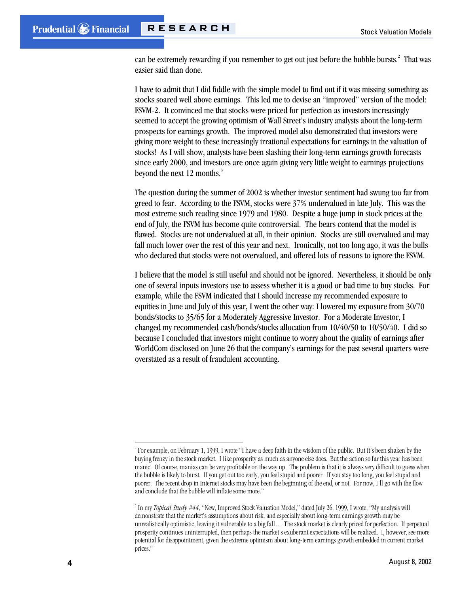I

can be extremely rewarding if you remember to get out just before the bubble bursts.<sup>2</sup> That was easier said than done.

I have to admit that I did fiddle with the simple model to find out if it was missing something as stocks soared well above earnings. This led me to devise an "improved" version of the model: FSVM-2. It convinced me that stocks were priced for perfection as investors increasingly seemed to accept the growing optimism of Wall Street's industry analysts about the long-term prospects for earnings growth. The improved model also demonstrated that investors were giving more weight to these increasingly irrational expectations for earnings in the valuation of stocks! As I will show, analysts have been slashing their long-term earnings growth forecasts since early 2000, and investors are once again giving very little weight to earnings projections beyond the next 12 months.<sup>3</sup>

The question during the summer of 2002 is whether investor sentiment had swung too far from greed to fear. According to the FSVM, stocks were 37% undervalued in late July. This was the most extreme such reading since 1979 and 1980. Despite a huge jump in stock prices at the end of July, the FSVM has become quite controversial. The bears contend that the model is flawed. Stocks are not undervalued at all, in their opinion. Stocks are still overvalued and may fall much lower over the rest of this year and next. Ironically, not too long ago, it was the bulls who declared that stocks were not overvalued, and offered lots of reasons to ignore the FSVM.

I believe that the model is still useful and should not be ignored. Nevertheless, it should be only one of several inputs investors use to assess whether it is a good or bad time to buy stocks. For example, while the FSVM indicated that I should increase my recommended exposure to equities in June and July of this year, I went the other way: I lowered my exposure from 30/70 bonds/stocks to 35/65 for a Moderately Aggressive Investor. For a Moderate Investor, I changed my recommended cash/bonds/stocks allocation from 10/40/50 to 10/50/40. I did so because I concluded that investors might continue to worry about the quality of earnings after WorldCom disclosed on June 26 that the company's earnings for the past several quarters were overstated as a result of fraudulent accounting.

 $2^{2}$  For example, on February 1, 1999, I wrote "I have a deep faith in the wisdom of the public. But it's been shaken by the buying frenzy in the stock market. I like prosperity as much as anyone else does. But the action so far this year has been manic. Of course, manias can be very profitable on the way up. The problem is that it is always very difficult to guess when the bubble is likely to burst. If you get out too early, you feel stupid and poorer. If you stay too long, you feel stupid and poorer. The recent drop in Internet stocks may have been the beginning of the end, or not. For now, I'll go with the flow and conclude that the bubble will inflate some more."

<sup>3</sup> In my *Topical Study #44*, "New, Improved Stock Valuation Model," dated July 26, 1999, I wrote, "My analysis will demonstrate that the market's assumptions about risk, and especially about long-term earnings growth may be unrealistically optimistic, leaving it vulnerable to a big fall….The stock market is clearly priced for perfection. If perpetual prosperity continues uninterrupted, then perhaps the market's exuberant expectations will be realized. I, however, see more potential for disappointment, given the extreme optimism about long-term earnings growth embedded in current market prices."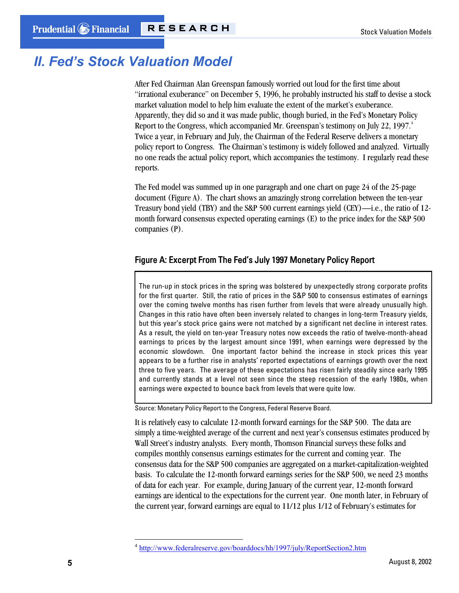### *II. Fed's Stock Valuation Model*

After Fed Chairman Alan Greenspan famously worried out loud for the first time about "irrational exuberance" on December 5, 1996, he probably instructed his staff to devise a stock market valuation model to help him evaluate the extent of the market's exuberance. Apparently, they did so and it was made public, though buried, in the Fed's Monetary Policy Report to the Congress, which accompanied Mr. Greenspan's testimony on July 22, 1997. $^4$ Twice a year, in February and July, the Chairman of the Federal Reserve delivers a monetary policy report to Congress. The Chairman's testimony is widely followed and analyzed. Virtually no one reads the actual policy report, which accompanies the testimony. I regularly read these reports.

The Fed model was summed up in one paragraph and one chart on page 24 of the 25-page document (Figure A). The chart shows an amazingly strong correlation between the ten-year Treasury bond yield (TBY) and the S&P 500 current earnings yield (CEY)—i.e., the ratio of 12 month forward consensus expected operating earnings (E) to the price index for the S&P 500 companies (P).

### Figure A: Excerpt From The Fed's July 1997 Monetary Policy Report

The run-up in stock prices in the spring was bolstered by unexpectedly strong corporate profits for the first quarter. Still, the ratio of prices in the S&P 500 to consensus estimates of earnings over the coming twelve months has risen further from levels that were already unusually high. Changes in this ratio have often been inversely related to changes in long-term Treasury yields, but this year's stock price gains were not matched by a significant net decline in interest rates. As a result, the yield on ten-year Treasury notes now exceeds the ratio of twelve-month-ahead earnings to prices by the largest amount since 1991, when earnings were depressed by the economic slowdown. One important factor behind the increase in stock prices this year appears to be a further rise in analysts' reported expectations of earnings growth over the next three to five years. The average of these expectations has risen fairly steadily since early 1995 and currently stands at a level not seen since the steep recession of the early 1980s, when earnings were expected to bounce back from levels that were quite low.

Source: Monetary Policy Report to the Congress, Federal Reserve Board.

It is relatively easy to calculate 12-month forward earnings for the S&P 500. The data are simply a time-weighted average of the current and next year's consensus estimates produced by Wall Street's industry analysts. Every month, Thomson Financial surveys these folks and compiles monthly consensus earnings estimates for the current and coming year. The consensus data for the S&P 500 companies are aggregated on a market-capitalization-weighted basis. To calculate the 12-month forward earnings series for the S&P 500, we need 23 months of data for each year. For example, during January of the current year, 12-month forward earnings are identical to the expectations for the current year. One month later, in February of the current year, forward earnings are equal to 11/12 plus 1/12 of February's estimates for

j

<sup>4</sup> http://www.federalreserve.gov/boarddocs/hh/1997/july/ReportSection2.htm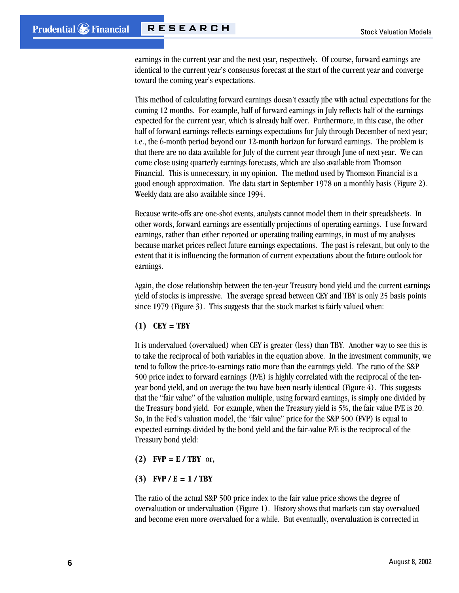earnings in the current year and the next year, respectively. Of course, forward earnings are identical to the current year's consensus forecast at the start of the current year and converge toward the coming year's expectations.

This method of calculating forward earnings doesn't exactly jibe with actual expectations for the coming 12 months. For example, half of forward earnings in July reflects half of the earnings expected for the current year, which is already half over. Furthermore, in this case, the other half of forward earnings reflects earnings expectations for July through December of next year; i.e., the 6-month period beyond our 12-month horizon for forward earnings. The problem is that there are no data available for July of the current year through June of next year. We can come close using quarterly earnings forecasts, which are also available from Thomson Financial. This is unnecessary, in my opinion. The method used by Thomson Financial is a good enough approximation. The data start in September 1978 on a monthly basis (Figure 2). Weekly data are also available since 1994.

Because write-offs are one-shot events, analysts cannot model them in their spreadsheets. In other words, forward earnings are essentially projections of operating earnings. I use forward earnings, rather than either reported or operating trailing earnings, in most of my analyses because market prices reflect future earnings expectations. The past is relevant, but only to the extent that it is influencing the formation of current expectations about the future outlook for earnings.

Again, the close relationship between the ten-year Treasury bond yield and the current earnings yield of stocks is impressive. The average spread between CEY and TBY is only 25 basis points since 1979 (Figure 3). This suggests that the stock market is fairly valued when:

#### **(1) CEY = TBY**

It is undervalued (overvalued) when CEY is greater (less) than TBY. Another way to see this is to take the reciprocal of both variables in the equation above. In the investment community, we tend to follow the price-to-earnings ratio more than the earnings yield. The ratio of the S&P 500 price index to forward earnings (P/E) is highly correlated with the reciprocal of the tenyear bond yield, and on average the two have been nearly identical (Figure 4). This suggests that the "fair value" of the valuation multiple, using forward earnings, is simply one divided by the Treasury bond yield. For example, when the Treasury yield is 5%, the fair value P/E is 20. So, in the Fed's valuation model, the "fair value" price for the S&P 500 (FVP) is equal to expected earnings divided by the bond yield and the fair-value P/E is the reciprocal of the Treasury bond yield:

**(2) FVP = E / TBY** or**,** 

#### **(3) FVP / E = 1 / TBY**

The ratio of the actual S&P 500 price index to the fair value price shows the degree of overvaluation or undervaluation (Figure 1). History shows that markets can stay overvalued and become even more overvalued for a while. But eventually, overvaluation is corrected in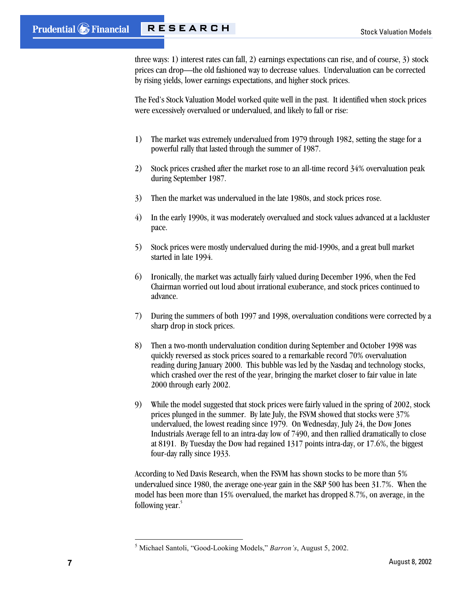three ways: 1) interest rates can fall, 2) earnings expectations can rise, and of course, 3) stock prices can drop—the old fashioned way to decrease values. Undervaluation can be corrected by rising yields, lower earnings expectations, and higher stock prices.

The Fed's Stock Valuation Model worked quite well in the past. It identified when stock prices were excessively overvalued or undervalued, and likely to fall or rise:

- 1) The market was extremely undervalued from 1979 through 1982, setting the stage for a powerful rally that lasted through the summer of 1987.
- 2) Stock prices crashed after the market rose to an all-time record 34% overvaluation peak during September 1987.
- 3) Then the market was undervalued in the late 1980s, and stock prices rose.
- 4) In the early 1990s, it was moderately overvalued and stock values advanced at a lackluster pace.
- 5) Stock prices were mostly undervalued during the mid-1990s, and a great bull market started in late 1994.
- 6) Ironically, the market was actually fairly valued during December 1996, when the Fed Chairman worried out loud about irrational exuberance, and stock prices continued to advance.
- 7) During the summers of both 1997 and 1998, overvaluation conditions were corrected by a sharp drop in stock prices.
- 8) Then a two-month undervaluation condition during September and October 1998 was quickly reversed as stock prices soared to a remarkable record 70% overvaluation reading during January 2000. This bubble was led by the Nasdaq and technology stocks, which crashed over the rest of the year, bringing the market closer to fair value in late 2000 through early 2002.
- 9) While the model suggested that stock prices were fairly valued in the spring of 2002, stock prices plunged in the summer. By late July, the FSVM showed that stocks were 37% undervalued, the lowest reading since 1979. On Wednesday, July 24, the Dow Jones Industrials Average fell to an intra-day low of 7490, and then rallied dramatically to close at 8191. By Tuesday the Dow had regained 1317 points intra-day, or 17.6%, the biggest four-day rally since 1933.

According to Ned Davis Research, when the FSVM has shown stocks to be more than 5% undervalued since 1980, the average one-year gain in the S&P 500 has been 31.7%. When the model has been more than 15% overvalued, the market has dropped 8.7%, on average, in the following year. $5$ 

l

<sup>5</sup> Michael Santoli, "Good-Looking Models," *Barron's*, August 5, 2002.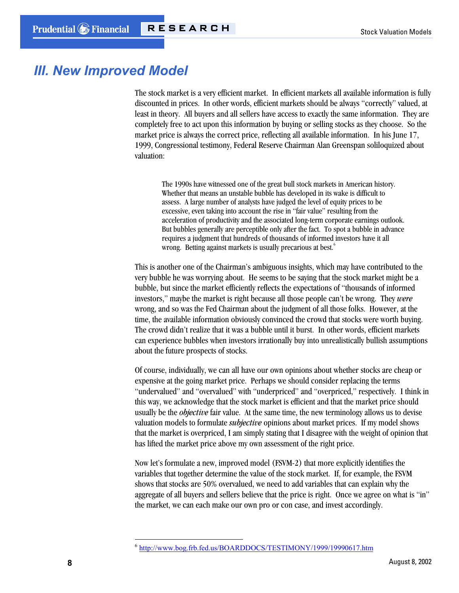### *III. New Improved Model*

The stock market is a very efficient market. In efficient markets all available information is fully discounted in prices. In other words, efficient markets should be always "correctly" valued, at least in theory. All buyers and all sellers have access to exactly the same information. They are completely free to act upon this information by buying or selling stocks as they choose. So the market price is always the correct price, reflecting all available information. In his June 17, 1999, Congressional testimony, Federal Reserve Chairman Alan Greenspan soliloquized about valuation:

The 1990s have witnessed one of the great bull stock markets in American history. Whether that means an unstable bubble has developed in its wake is difficult to assess. A large number of analysts have judged the level of equity prices to be excessive, even taking into account the rise in "fair value" resulting from the acceleration of productivity and the associated long-term corporate earnings outlook. But bubbles generally are perceptible only after the fact. To spot a bubble in advance requires a judgment that hundreds of thousands of informed investors have it all wrong. Betting against markets is usually precarious at best.<sup>6</sup>

This is another one of the Chairman's ambiguous insights, which may have contributed to the very bubble he was worrying about. He seems to be saying that the stock market might be a bubble, but since the market efficiently reflects the expectations of "thousands of informed investors," maybe the market is right because all those people can't be wrong. They *were* wrong, and so was the Fed Chairman about the judgment of all those folks. However, at the time, the available information obviously convinced the crowd that stocks were worth buying. The crowd didn't realize that it was a bubble until it burst. In other words, efficient markets can experience bubbles when investors irrationally buy into unrealistically bullish assumptions about the future prospects of stocks.

Of course, individually, we can all have our own opinions about whether stocks are cheap or expensive at the going market price. Perhaps we should consider replacing the terms "undervalued" and "overvalued" with "underpriced" and "overpriced," respectively. I think in this way, we acknowledge that the stock market is efficient and that the market price should usually be the *objective* fair value. At the same time, the new terminology allows us to devise valuation models to formulate *subjective* opinions about market prices. If my model shows that the market is overpriced, I am simply stating that I disagree with the weight of opinion that has lifted the market price above my own assessment of the right price.

Now let's formulate a new, improved model (FSVM-2) that more explicitly identifies the variables that together determine the value of the stock market. If, for example, the FSVM shows that stocks are 50% overvalued, we need to add variables that can explain why the aggregate of all buyers and sellers believe that the price is right. Once we agree on what is "in" the market, we can each make our own pro or con case, and invest accordingly.

l <sup>6</sup> http://www.bog.frb.fed.us/BOARDDOCS/TESTIMONY/1999/19990617.htm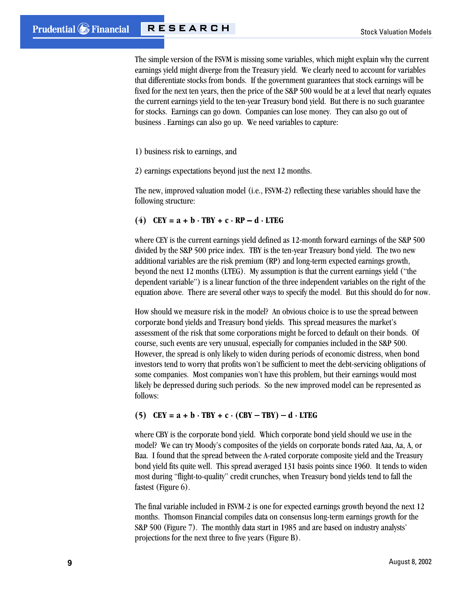The simple version of the FSVM is missing some variables, which might explain why the current earnings yield might diverge from the Treasury yield. We clearly need to account for variables that differentiate stocks from bonds. If the government guarantees that stock earnings will be fixed for the next ten years, then the price of the S&P 500 would be at a level that nearly equates the current earnings yield to the ten-year Treasury bond yield. But there is no such guarantee for stocks. Earnings can go down. Companies can lose money. They can also go out of business . Earnings can also go up. We need variables to capture:

1) business risk to earnings, and

2) earnings expectations beyond just the next 12 months.

The new, improved valuation model (i.e., FSVM-2) reflecting these variables should have the following structure:

 $(4)$  CEY =  $a + b \cdot TBY + c \cdot RP - d \cdot LTEG$ 

where CEY is the current earnings yield defined as 12-month forward earnings of the S&P 500 divided by the S&P 500 price index. TBY is the ten-year Treasury bond yield. The two new additional variables are the risk premium (RP) and long-term expected earnings growth, beyond the next 12 months (LTEG). My assumption is that the current earnings yield ("the dependent variable") is a linear function of the three independent variables on the right of the equation above. There are several other ways to specify the model. But this should do for now.

How should we measure risk in the model? An obvious choice is to use the spread between corporate bond yields and Treasury bond yields. This spread measures the market's assessment of the risk that some corporations might be forced to default on their bonds. Of course, such events are very unusual, especially for companies included in the S&P 500. However, the spread is only likely to widen during periods of economic distress, when bond investors tend to worry that profits won't be sufficient to meet the debt-servicing obligations of some companies. Most companies won't have this problem, but their earnings would most likely be depressed during such periods. So the new improved model can be represented as follows:

#### $(5)$  CEY = a + b · TBY + c ·  $(CBY - TBY) - d$  · LTEG

where CBY is the corporate bond yield. Which corporate bond yield should we use in the model? We can try Moody's composites of the yields on corporate bonds rated Aaa, Aa, A, or Baa. I found that the spread between the A-rated corporate composite yield and the Treasury bond yield fits quite well. This spread averaged 131 basis points since 1960. It tends to widen most during "flight-to-quality" credit crunches, when Treasury bond yields tend to fall the fastest (Figure 6).

The final variable included in FSVM-2 is one for expected earnings growth beyond the next 12 months. Thomson Financial compiles data on consensus long-term earnings growth for the S&P 500 (Figure 7). The monthly data start in 1985 and are based on industry analysts' projections for the next three to five years (Figure B).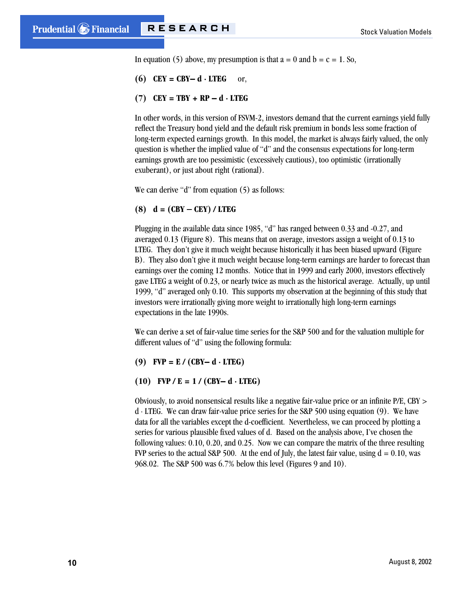In equation (5) above, my presumption is that  $a = 0$  and  $b = c = 1$ . So,

- **(6) CEY = CBY**− **d · LTEG** or,
- $(7)$  CEY = TBY + RP  $d \cdot$  LTEG

In other words, in this version of FSVM-2, investors demand that the current earnings yield fully reflect the Treasury bond yield and the default risk premium in bonds less some fraction of long-term expected earnings growth. In this model, the market is always fairly valued, the only question is whether the implied value of "d" and the consensus expectations for long-term earnings growth are too pessimistic (excessively cautious), too optimistic (irrationally exuberant), or just about right (rational).

We can derive "d" from equation (5) as follows:

#### **(8) d = (CBY** − **CEY) / LTEG**

Plugging in the available data since 1985, "d" has ranged between 0.33 and -0.27, and averaged 0.13 (Figure 8). This means that on average, investors assign a weight of 0.13 to LTEG. They don't give it much weight because historically it has been biased upward (Figure B). They also don't give it much weight because long-term earnings are harder to forecast than earnings over the coming 12 months. Notice that in 1999 and early 2000, investors effectively gave LTEG a weight of 0.23, or nearly twice as much as the historical average. Actually, up until 1999, "d" averaged only 0.10. This supports my observation at the beginning of this study that investors were irrationally giving more weight to irrationally high long-term earnings expectations in the late 1990s.

We can derive a set of fair-value time series for the S&P 500 and for the valuation multiple for different values of "d" using the following formula:

**(9) FVP = E / (CBY**− **d · LTEG)** 

**(10) FVP / E = 1 / (CBY**− **d · LTEG)** 

Obviously, to avoid nonsensical results like a negative fair-value price or an infinite P/E, CBY > d · LTEG. We can draw fair-value price series for the S&P 500 using equation (9). We have data for all the variables except the d-coefficient. Nevertheless, we can proceed by plotting a series for various plausible fixed values of d. Based on the analysis above, I've chosen the following values: 0.10, 0.20, and 0.25. Now we can compare the matrix of the three resulting FVP series to the actual S&P 500. At the end of July, the latest fair value, using  $d = 0.10$ , was 968.02. The S&P 500 was 6.7% below this level (Figures 9 and 10).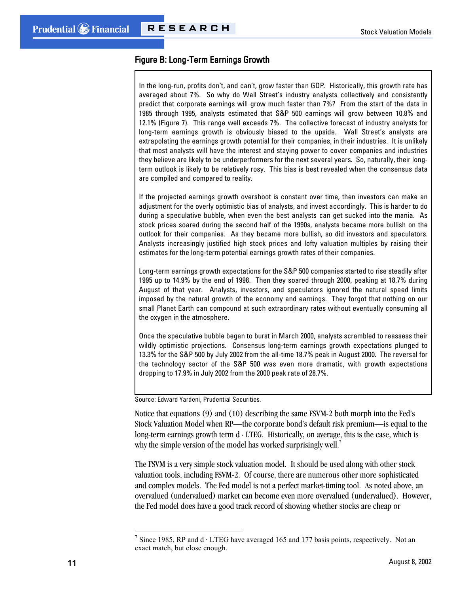#### Figure B: Long-Term Earnings Growth

In the long-run, profits don't, and can't, grow faster than GDP. Historically, this growth rate has averaged about 7%. So why do Wall Street's industry analysts collectively and consistently predict that corporate earnings will grow much faster than 7%? From the start of the data in 1985 through 1995, analysts estimated that S&P 500 earnings will grow between 10.8% and 12.1% (Figure 7). This range well exceeds 7%. The collective forecast of industry analysts for long-term earnings growth is obviously biased to the upside. Wall Street's analysts are extrapolating the earnings growth potential for their companies, in their industries. It is unlikely that most analysts will have the interest and staying power to cover companies and industries they believe are likely to be underperformers for the next several years. So, naturally, their longterm outlook is likely to be relatively rosy. This bias is best revealed when the consensus data are compiled and compared to reality.

If the projected earnings growth overshoot is constant over time, then investors can make an adjustment for the overly optimistic bias of analysts, and invest accordingly. This is harder to do during a speculative bubble, when even the best analysts can get sucked into the mania. As stock prices soared during the second half of the 1990s, analysts became more bullish on the outlook for their companies. As they became more bullish, so did investors and speculators. Analysts increasingly justified high stock prices and lofty valuation multiples by raising their estimates for the long-term potential earnings growth rates of their companies.

Long-term earnings growth expectations for the S&P 500 companies started to rise steadily after 1995 up to 14.9% by the end of 1998. Then they soared through 2000, peaking at 18.7% during August of that year. Analysts, investors, and speculators ignored the natural speed limits imposed by the natural growth of the economy and earnings. They forgot that nothing on our small Planet Earth can compound at such extraordinary rates without eventually consuming all the oxygen in the atmosphere.

Once the speculative bubble began to burst in March 2000, analysts scrambled to reassess their wildly optimistic projections. Consensus long-term earnings growth expectations plunged to 13.3% for the S&P 500 by July 2002 from the all-time 18.7% peak in August 2000. The reversal for the technology sector of the S&P 500 was even more dramatic, with growth expectations dropping to 17.9% in July 2002 from the 2000 peak rate of 28.7%.

Source: Edward Yardeni, Prudential Securities.

Notice that equations (9) and (10) describing the same FSVM-2 both morph into the Fed's Stock Valuation Model when RP—the corporate bond's default risk premium—is equal to the long-term earnings growth term d · LTEG. Historically, on average, this is the case, which is why the simple version of the model has worked surprisingly well.<sup>7</sup>

The FSVM is a very simple stock valuation model. It should be used along with other stock valuation tools, including FSVM-2. Of course, there are numerous other more sophisticated and complex models. The Fed model is not a perfect market-timing tool. As noted above, an overvalued (undervalued) market can become even more overvalued (undervalued). However, the Fed model does have a good track record of showing whether stocks are cheap or

 $\frac{7}{10}$  Since 1985, RP and d · LTEG have averaged 165 and 177 basis points, respectively. Not an exact match, but close enough.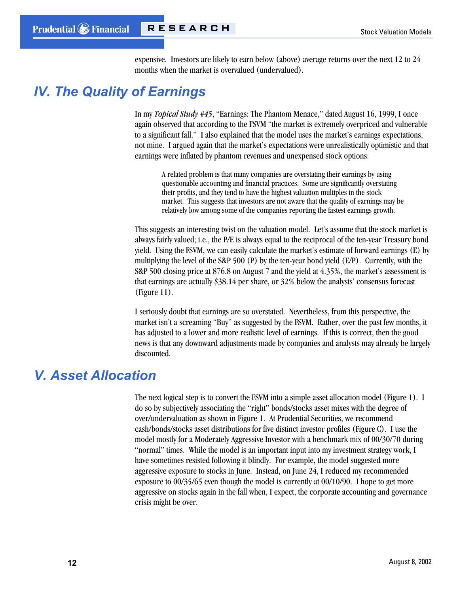expensive. Investors are likely to earn below (above) average returns over the next 12 to 24 months when the market is overvalued (undervalued).

## *IV. The Quality of Earnings*

In my *Topical Study #45*, "Earnings: The Phantom Menace," dated August 16, 1999, I once again observed that according to the FSVM "the market is extremely overpriced and vulnerable to a significant fall." I also explained that the model uses the market's earnings expectations, not mine. I argued again that the market's expectations were unrealistically optimistic and that earnings were inflated by phantom revenues and unexpensed stock options:

A related problem is that many companies are overstating their earnings by using questionable accounting and financial practices. Some are significantly overstating their profits, and they tend to have the highest valuation multiples in the stock market. This suggests that investors are not aware that the quality of earnings may be relatively low among some of the companies reporting the fastest earnings growth.

This suggests an interesting twist on the valuation model. Let's assume that the stock market is always fairly valued; i.e., the P/E is always equal to the reciprocal of the ten-year Treasury bond yield. Using the FSVM, we can easily calculate the market's estimate of forward earnings (E) by multiplying the level of the S&P 500 (P) by the ten-year bond yield  $(E/P)$ . Currently, with the S&P 500 closing price at 876.8 on August 7 and the yield at 4.35%, the market's assessment is that earnings are actually \$38.14 per share, or 32% below the analysts' consensus forecast (Figure 11).

I seriously doubt that earnings are so overstated. Nevertheless, from this perspective, the market isn't a screaming "Buy" as suggested by the FSVM. Rather, over the past few months, it has adjusted to a lower and more realistic level of earnings. If this is correct, then the good news is that any downward adjustments made by companies and analysts may already be largely discounted.

### *V. Asset Allocation*

The next logical step is to convert the FSVM into a simple asset allocation model (Figure 1). I do so by subjectively associating the "right" bonds/stocks asset mixes with the degree of over/undervaluation as shown in Figure 1. At Prudential Securities, we recommend cash/bonds/stocks asset distributions for five distinct investor profiles (Figure C). I use the model mostly for a Moderately Aggressive Investor with a benchmark mix of 00/30/70 during "normal" times. While the model is an important input into my investment strategy work, I have sometimes resisted following it blindly. For example, the model suggested more aggressive exposure to stocks in June. Instead, on June 24, I reduced my recommended exposure to 00/35/65 even though the model is currently at 00/10/90. I hope to get more aggressive on stocks again in the fall when, I expect, the corporate accounting and governance crisis might be over.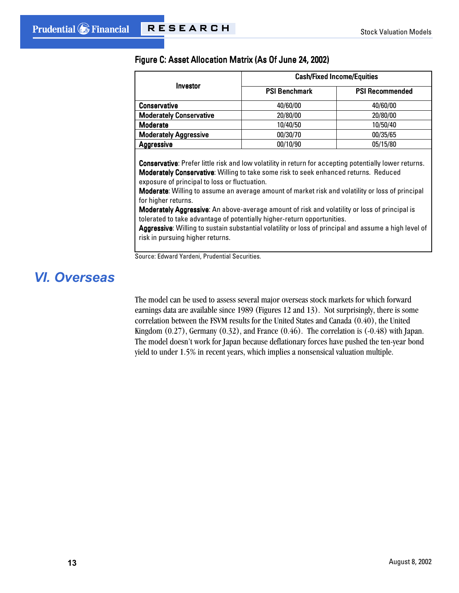| Investor                       | <b>Cash/Fixed Income/Equities</b> |                        |
|--------------------------------|-----------------------------------|------------------------|
|                                | <b>PSI Benchmark</b>              | <b>PSI Recommended</b> |
| <b>Conservative</b>            | 40/60/00                          | 40/60/00               |
| <b>Moderately Conservative</b> | 20/80/00                          | 20/80/00               |
| <b>Moderate</b>                | 10/40/50                          | 10/50/40               |
| <b>Moderately Aggressive</b>   | 00/30/70                          | 00/35/65               |
| Aggressive                     | 00/10/90                          | 05/15/80               |

Figure C: Asset Allocation Matrix (As Of June 24, 2002)

Conservative: Prefer little risk and low volatility in return for accepting potentially lower returns. Moderately Conservative: Willing to take some risk to seek enhanced returns. Reduced exposure of principal to loss or fluctuation.

Moderate: Willing to assume an average amount of market risk and volatility or loss of principal for higher returns.

Moderately Aggressive: An above-average amount of risk and volatility or loss of principal is tolerated to take advantage of potentially higher-return opportunities.

Aggressive: Willing to sustain substantial volatility or loss of principal and assume a high level of risk in pursuing higher returns.

Source: Edward Yardeni, Prudential Securities.

## *VI. Overseas*

The model can be used to assess several major overseas stock markets for which forward earnings data are available since 1989 (Figures 12 and 13). Not surprisingly, there is some correlation between the FSVM results for the United States and Canada (0.40), the United Kingdom  $(0.27)$ , Germany  $(0.32)$ , and France  $(0.46)$ . The correlation is  $(-0.48)$  with Japan. The model doesn't work for Japan because deflationary forces have pushed the ten-year bond yield to under 1.5% in recent years, which implies a nonsensical valuation multiple.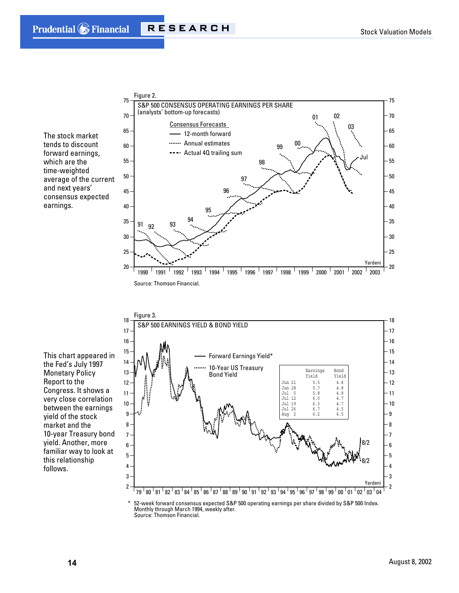



This chart appeared in the Fed's July 1997 Monetary Policy Report to the Congress. It shows a very close correlation between the earnings yield of the stock market and the 10-year Treasury bond yield. Another, more familiar way to look at this relationship follows.



\* 52-week forward consensus expected S&P 500 operating earnings per share divided by S&P 500 Index. Monthly through March 1994, weekly after. Source: Thomson Financial.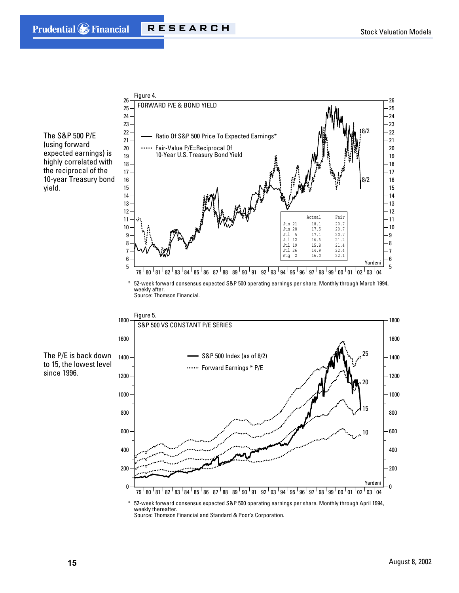

\* 52-week forward consensus expected S&P 500 operating earnings per share. Monthly through April 1994, weekly thereafter.

Source: Thomson Financial and Standard & Poor's Corporation.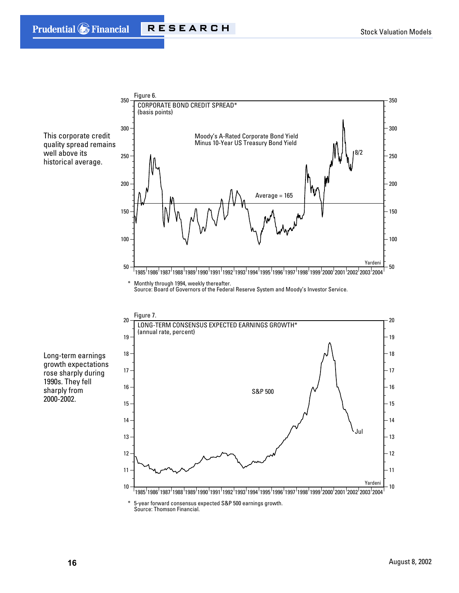

\* 5-year forward consensus expected S&P 500 earnings growth. Source: Thomson Financial.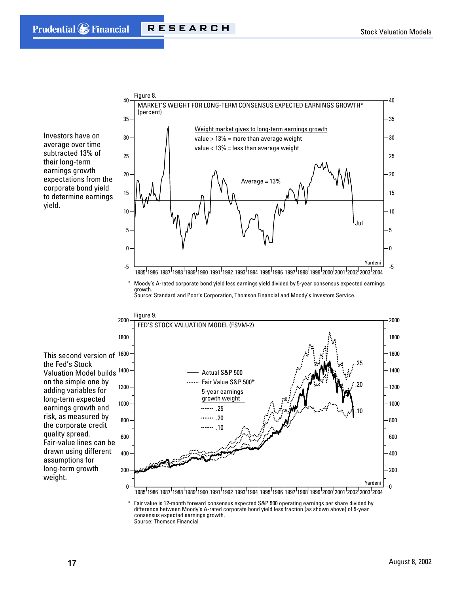

Fair value is 12-month forward consensus expected S&P 500 operating earnings per share divided by difference between Moody's A-rated corporate bond yield less fraction (as shown above) of 5-year consensus expected earnings growth. Source: Thomson Financial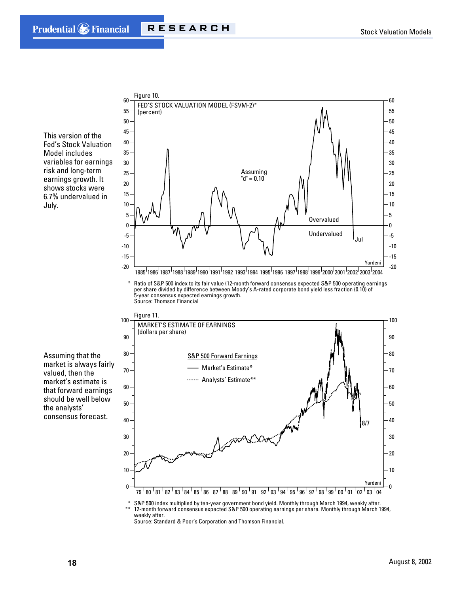Figure 10.

This version of the Fed's Stock Valuation Model includes risk and long-term earnings growth. It shows stocks were 6.7% undervalued in



variables for earnings July.

Assuming that the market is always fairly valued, then the market's estimate is that forward earnings should be well below the analysts' consensus forecast.

0

\* S&P 500 index multiplied by ten-year government bond yield. Monthly through March 1994, weekly after. 12-month forward consensus expected S&P 500 operating earnings per share. Monthly through March 1994, weekly after.

 $79^{1}80^{1}81^{1}82^{1}83^{1}84^{1}85^{1}86^{1}87^{1}88^{1}89^{1}90^{1}91^{1}92^{1}93^{1}94^{1}95^{1}96^{1}97^{1}98^{1}99^{1}00^{1}01^{1}02^{1}03^{1}04$ 

Source: Standard & Poor's Corporation and Thomson Financial.

0

Yardeni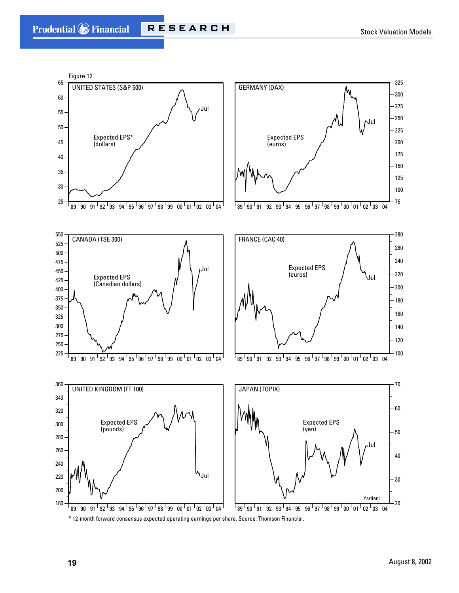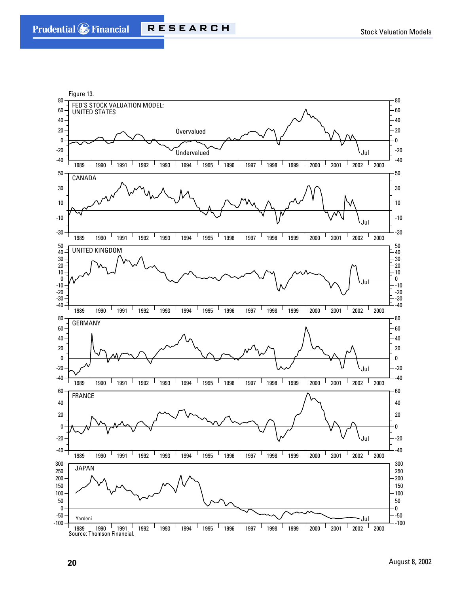